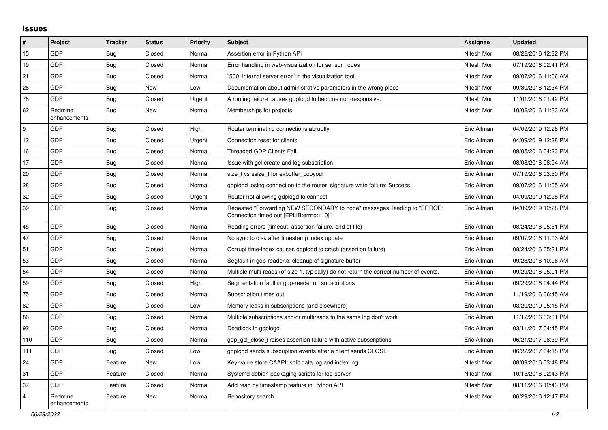## **Issues**

| #                       | Project                 | <b>Tracker</b> | <b>Status</b> | Priority | <b>Subject</b>                                                                                                      | <b>Assignee</b> | <b>Updated</b>      |
|-------------------------|-------------------------|----------------|---------------|----------|---------------------------------------------------------------------------------------------------------------------|-----------------|---------------------|
| 15                      | GDP                     | <b>Bug</b>     | Closed        | Normal   | Assertion error in Python API                                                                                       | Nitesh Mor      | 08/22/2016 12:32 PM |
| 19                      | GDP                     | Bug            | Closed        | Normal   | Error handling in web-visualization for sensor nodes                                                                | Nitesh Mor      | 07/19/2016 02:41 PM |
| 21                      | GDP                     | <b>Bug</b>     | Closed        | Normal   | '500: internal server error" in the visualization tool.                                                             | Nitesh Mor      | 09/07/2016 11:06 AM |
| 26                      | <b>GDP</b>              | <b>Bug</b>     | New           | Low      | Documentation about administrative parameters in the wrong place                                                    | Nitesh Mor      | 09/30/2016 12:34 PM |
| 78                      | GDP                     | <b>Bug</b>     | Closed        | Urgent   | A routing failure causes gdplogd to become non-responsive.                                                          | Nitesh Mor      | 11/01/2016 01:42 PM |
| 62                      | Redmine<br>enhancements | <b>Bug</b>     | <b>New</b>    | Normal   | Memberships for projects                                                                                            | Nitesh Mor      | 10/02/2016 11:33 AM |
| 9                       | GDP                     | <b>Bug</b>     | Closed        | High     | Router terminating connections abruptly                                                                             | Eric Allman     | 04/09/2019 12:28 PM |
| 12                      | GDP                     | <b>Bug</b>     | Closed        | Urgent   | Connection reset for clients                                                                                        | Eric Allman     | 04/09/2019 12:28 PM |
| 16                      | GDP                     | <b>Bug</b>     | Closed        | Normal   | <b>Threaded GDP Clients Fail</b>                                                                                    | Eric Allman     | 09/05/2016 04:23 PM |
| 17                      | GDP                     | <b>Bug</b>     | Closed        | Normal   | Issue with gcl-create and log subscription                                                                          | Eric Allman     | 08/08/2016 08:24 AM |
| 20                      | GDP                     | Bug            | Closed        | Normal   | size t vs ssize t for evbuffer copyout                                                                              | Eric Allman     | 07/19/2016 03:50 PM |
| 28                      | GDP                     | Bug            | Closed        | Normal   | gdplogd losing connection to the router, signature write failure: Success                                           | Eric Allman     | 09/07/2016 11:05 AM |
| 32                      | GDP                     | <b>Bug</b>     | Closed        | Urgent   | Router not allowing gdplogd to connect                                                                              | Eric Allman     | 04/09/2019 12:28 PM |
| 39                      | GDP                     | <b>Bug</b>     | Closed        | Normal   | Repeated "Forwarding NEW SECONDARY to node" messages, leading to "ERROR:<br>Connection timed out [EPLIB:errno:110]" | Eric Allman     | 04/09/2019 12:28 PM |
| 45                      | GDP                     | <b>Bug</b>     | Closed        | Normal   | Reading errors (timeout, assertion failure, end of file)                                                            | Eric Allman     | 08/24/2016 05:51 PM |
| 47                      | GDP                     | <b>Bug</b>     | Closed        | Normal   | No sync to disk after timestamp index update                                                                        | Eric Allman     | 09/07/2016 11:03 AM |
| 51                      | GDP                     | <b>Bug</b>     | Closed        | Normal   | Corrupt time-index causes gdplogd to crash (assertion failure)                                                      | Eric Allman     | 08/24/2016 05:31 PM |
| 53                      | GDP                     | <b>Bug</b>     | Closed        | Normal   | Segfault in gdp-reader.c; cleanup of signature buffer                                                               | Eric Allman     | 09/23/2016 10:06 AM |
| 54                      | GDP                     | <b>Bug</b>     | Closed        | Normal   | Multiple multi-reads (of size 1, typically) do not return the correct number of events.                             | Eric Allman     | 09/29/2016 05:01 PM |
| 59                      | GDP                     | <b>Bug</b>     | Closed        | High     | Segmentation fault in gdp-reader on subscriptions                                                                   | Eric Allman     | 09/29/2016 04:44 PM |
| 75                      | GDP                     | Bug            | Closed        | Normal   | Subscription times out                                                                                              | Eric Allman     | 11/19/2016 06:45 AM |
| 82                      | GDP                     | Bug            | Closed        | Low      | Memory leaks in subscriptions (and elsewhere)                                                                       | Eric Allman     | 03/20/2019 05:15 PM |
| 86                      | GDP                     | <b>Bug</b>     | Closed        | Normal   | Multiple subscriptions and/or multireads to the same log don't work                                                 | Eric Allman     | 11/12/2016 03:31 PM |
| 92                      | GDP                     | <b>Bug</b>     | Closed        | Normal   | Deadlock in gdplogd                                                                                                 | Eric Allman     | 03/11/2017 04:45 PM |
| 110                     | GDP                     | Bug            | Closed        | Normal   | gdp gcl close() raises assertion failure with active subscriptions                                                  | Eric Allman     | 06/21/2017 08:39 PM |
| 111                     | <b>GDP</b>              | <b>Bug</b>     | Closed        | Low      | gdplogd sends subscription events after a client sends CLOSE                                                        | Eric Allman     | 06/22/2017 04:18 PM |
| 24                      | GDP                     | Feature        | <b>New</b>    | Low      | Key-value store CAAPI: split data log and index log                                                                 | Nitesh Mor      | 08/09/2016 03:48 PM |
| 31                      | GDP                     | Feature        | Closed        | Normal   | Systemd debian packaging scripts for log-server                                                                     | Nitesh Mor      | 10/15/2016 02:43 PM |
| 37                      | <b>GDP</b>              | Feature        | Closed        | Normal   | Add read by timestamp feature in Python API                                                                         | Nitesh Mor      | 08/11/2016 12:43 PM |
| $\overline{\mathbf{A}}$ | Redmine<br>enhancements | Feature        | New           | Normal   | Repository search                                                                                                   | Nitesh Mor      | 06/29/2016 12:47 PM |